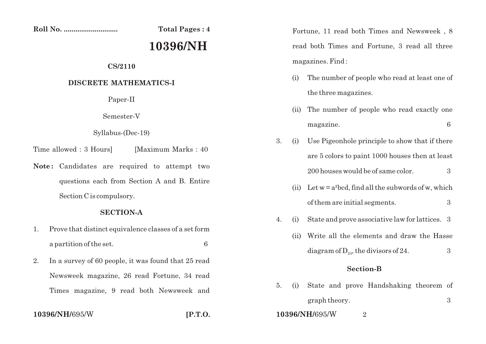**10396/NH/**695/W **[P.T.O.**

**Roll No. ............................ Total Pages : 4**

# **10396/NH**

## **CS/2110**

## **DISCRETE MATHEMATICS-I**

Paper-II

Semester-V

Syllabus-(Dec-19)

Time allowed : 3 Hours [Maximum Marks : 40]

Note: Candidates are required to attempt two questions each from Section A and B. Entire Section C is compulsory.

#### **SECTION-A**

- 1. Prove that distinct equivalence classes of a set form a partition of the set. 6
- 2. In a survey of 60 people, it was found that 25 read Newsweek magazine, 26 read Fortune, 34 read Times magazine, 9 read both Newsweek and

Fortune, 11 read both Times and Newsweek , 8 read both Times and Fortune, 3 read all three magazines. Find :

- (i) The number of people who read at least one of the three magazines.
- (ii) The number of people who read exactly one magazine. 6
- 3. (i) Use Pigeonhole principle to show that if there are 5 colors to paint 1000 houses then at least 200 houses would be of same color.  $\frac{3}{2}$ 
	- (ii) Let  $w = a^2 b c d$ , find all the subwords of w, which of them are initial segments. 3
- 4. (i) State and prove associative law for lattices. 3
	- (ii) Write all the elements and draw the Hasse diagram of  $D_{24}$ , the divisors of 24.  $\qquad \qquad 3$

#### **Section-B**

5. (i) State and prove Handshaking theorem of graph theory. 3 **10396/NH/**695/W 2